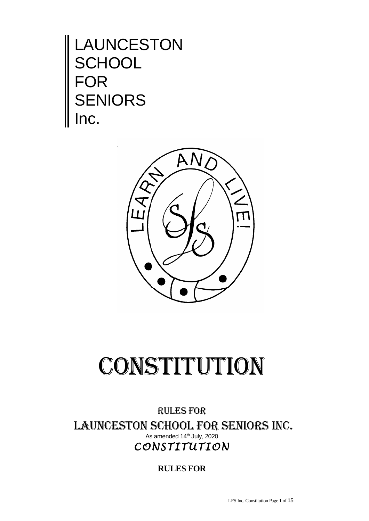LAUNCESTON **SCHOOL FOR** SENIORS Inc.



## CONSTITUTION

RULES FOR LAUNCESTON SCHOOL FOR SENIORS Inc. As amended 14<sup>th</sup> July, 2020 *CONSTITUTION* 

**RULES FOR**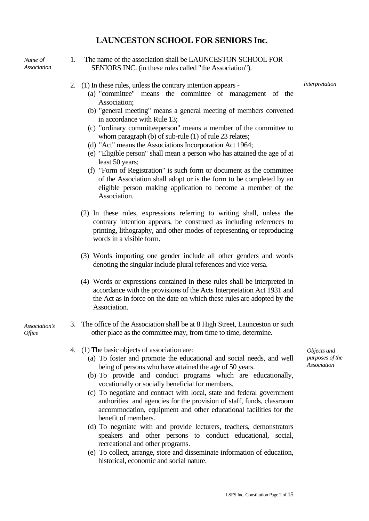## **LAUNCESTON SCHOOL FOR SENIORS Inc.**

*Name of Association*

- 1. The name of the association shall be LAUNCESTON SCHOOL FOR SENIORS INC. (in these rules called "the Association").
- 2. (1) In these rules, unless the contrary intention appears -

*Interpretation*

- (a) "committee" means the committee of management of the Association;
- (b) "general meeting" means a general meeting of members convened in accordance with Rule 13;
- (c) "ordinary committeeperson" means a member of the committee to whom paragraph (b) of sub-rule (1) of rule 23 relates;
- (d) "Act" means the Associations Incorporation Act 1964;
- (e) "Eligible person" shall mean a person who has attained the age of at least 50 years;
- (f) "Form of Registration" is such form or document as the committee of the Association shall adopt or is the form to be completed by an eligible person making application to become a member of the Association.
- (2) In these rules, expressions referring to writing shall, unless the contrary intention appears, be construed as including references to printing, lithography, and other modes of representing or reproducing words in a visible form.
- (3) Words importing one gender include all other genders and words denoting the singular include plural references and vice versa.
- (4) Words or expressions contained in these rules shall be interpreted in accordance with the provisions of the Acts Interpretation Act 1931 and the Act as in force on the date on which these rules are adopted by the Association.
- *Association's Office*
- 3. The office of the Association shall be at 8 High Street, Launceston or such other place as the committee may, from time to time, determine.
	- 4. (1) The basic objects of association are:
		- (a) To foster and promote the educational and social needs, and well being of persons who have attained the age of 50 years.
		- (b) To provide and conduct programs which are educationally, vocationally or socially beneficial for members.
		- (c) To negotiate and contract with local, state and federal government authorities and agencies for the provision of staff, funds, classroom accommodation, equipment and other educational facilities for the benefit of members.
		- (d) To negotiate with and provide lecturers, teachers, demonstrators speakers and other persons to conduct educational, social, recreational and other programs.
		- (e) To collect, arrange, store and disseminate information of education, historical, economic and social nature.

*Objects and purposes of the Association*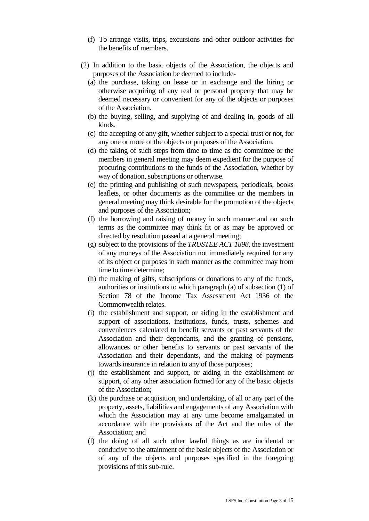- (f) To arrange visits, trips, excursions and other outdoor activities for the benefits of members.
- (2) In addition to the basic objects of the Association, the objects and purposes of the Association be deemed to include-
	- (a) the purchase, taking on lease or in exchange and the hiring or otherwise acquiring of any real or personal property that may be deemed necessary or convenient for any of the objects or purposes of the Association.
	- (b) the buying, selling, and supplying of and dealing in, goods of all kinds.
	- (c) the accepting of any gift, whether subject to a special trust or not, for any one or more of the objects or purposes of the Association.
	- (d) the taking of such steps from time to time as the committee or the members in general meeting may deem expedient for the purpose of procuring contributions to the funds of the Association, whether by way of donation, subscriptions or otherwise.
	- (e) the printing and publishing of such newspapers, periodicals, books leaflets, or other documents as the committee or the members in general meeting may think desirable for the promotion of the objects and purposes of the Association;
	- (f) the borrowing and raising of money in such manner and on such terms as the committee may think fit or as may be approved or directed by resolution passed at a general meeting;
	- (g) subject to the provisions of the *TRUSTEE ACT 1898*, the investment of any moneys of the Association not immediately required for any of its object or purposes in such manner as the committee may from time to time determine;
	- (h) the making of gifts, subscriptions or donations to any of the funds, authorities or institutions to which paragraph (a) of subsection (1) of Section 78 of the Income Tax Assessment Act 1936 of the Commonwealth relates.
	- (i) the establishment and support, or aiding in the establishment and support of associations, institutions, funds, trusts, schemes and conveniences calculated to benefit servants or past servants of the Association and their dependants, and the granting of pensions, allowances or other benefits to servants or past servants of the Association and their dependants, and the making of payments towards insurance in relation to any of those purposes;
	- (j) the establishment and support, or aiding in the establishment or support, of any other association formed for any of the basic objects of the Association;
	- (k) the purchase or acquisition, and undertaking, of all or any part of the property, assets, liabilities and engagements of any Association with which the Association may at any time become amalgamated in accordance with the provisions of the Act and the rules of the Association; and
	- (l) the doing of all such other lawful things as are incidental or conducive to the attainment of the basic objects of the Association or of any of the objects and purposes specified in the foregoing provisions of this sub-rule.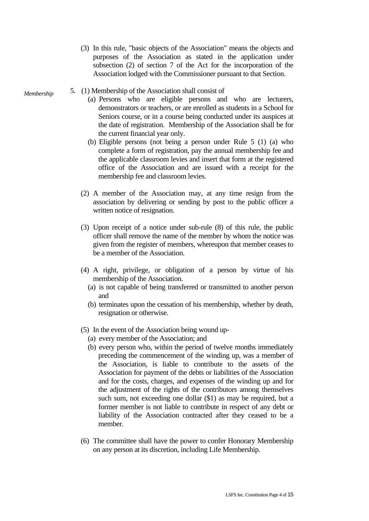- (3) In this rule, "basic objects of the Association" means the objects and purposes of the Association as stated in the application under subsection (2) of section 7 of the Act for the incorporation of the Association lodged with the Commissioner pursuant to that Section.
- 5. (1) Membership of the Association shall consist of *Membership*
	- (a) Persons who are eligible persons and who are lecturers, demonstrators or teachers, or are enrolled as students in a School for Seniors course, or in a course being conducted under its auspices at the date of registration. Membership of the Association shall be for the current financial year only.
	- (b) Eligible persons (not being a person under Rule 5 (1) (a) who complete a form of registration, pay the annual membership fee and the applicable classroom levies and insert that form at the registered office of the Association and are issued with a receipt for the membership fee and classroom levies.
	- (2) A member of the Association may, at any time resign from the association by delivering or sending by post to the public officer a written notice of resignation.
	- (3) Upon receipt of a notice under sub-rule (8) of this rule, the public officer shall remove the name of the member by whom the notice was given from the register of members, whereupon that member ceases to be a member of the Association.
	- (4) A right, privilege, or obligation of a person by virtue of his membership of the Association.
		- (a) is not capable of being transferred or transmitted to another person and
		- (b) terminates upon the cessation of his membership, whether by death, resignation or otherwise.
	- (5) In the event of the Association being wound up-
		- (a) every member of the Association; and
		- (b) every person who, within the period of twelve months immediately preceding the commencement of the winding up, was a member of the Association, is liable to contribute to the assets of the Association for payment of the debts or liabilities of the Association and for the costs, charges, and expenses of the winding up and for the adjustment of the rights of the contributors among themselves such sum, not exceeding one dollar (\$1) as may be required, but a former member is not liable to contribute in respect of any debt or liability of the Association contracted after they ceased to be a member.
	- (6) The committee shall have the power to confer Honorary Membership on any person at its discretion, including Life Membership.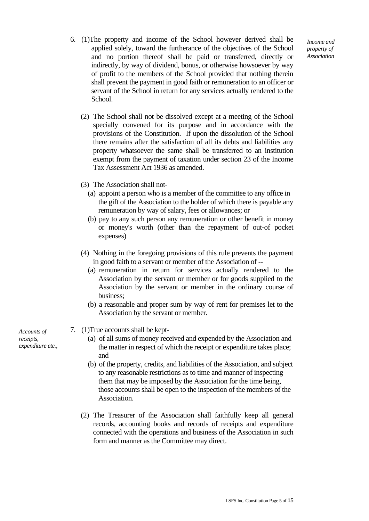*Income and property of Association*

- 6. (1)The property and income of the School however derived shall be applied solely, toward the furtherance of the objectives of the School and no portion thereof shall be paid or transferred, directly or indirectly, by way of dividend, bonus, or otherwise howsoever by way of profit to the members of the School provided that nothing therein shall prevent the payment in good faith or remuneration to an officer or servant of the School in return for any services actually rendered to the School.
	- (2) The School shall not be dissolved except at a meeting of the School specially convened for its purpose and in accordance with the provisions of the Constitution. If upon the dissolution of the School there remains after the satisfaction of all its debts and liabilities any property whatsoever the same shall be transferred to an institution exempt from the payment of taxation under section 23 of the Income Tax Assessment Act 1936 as amended.
	- (3) The Association shall not-
		- (a) appoint a person who is a member of the committee to any office in the gift of the Association to the holder of which there is payable any remuneration by way of salary, fees or allowances; or
		- (b) pay to any such person any remuneration or other benefit in money or money's worth (other than the repayment of out-of pocket expenses)
	- (4) Nothing in the foregoing provisions of this rule prevents the payment in good faith to a servant or member of the Association of --
		- (a) remuneration in return for services actually rendered to the Association by the servant or member or for goods supplied to the Association by the servant or member in the ordinary course of business;
		- (b) a reasonable and proper sum by way of rent for premises let to the Association by the servant or member.
- 7. (1)True accounts shall be kept-
	- (a) of all sums of money received and expended by the Association and the matter in respect of which the receipt or expenditure takes place; and
	- (b) of the property, credits, and liabilities of the Association, and subject to any reasonable restrictions as to time and manner of inspecting them that may be imposed by the Association for the time being, those accounts shall be open to the inspection of the members of the Association.
	- (2) The Treasurer of the Association shall faithfully keep all general records, accounting books and records of receipts and expenditure connected with the operations and business of the Association in such form and manner as the Committee may direct.

*Accounts of receipts, expenditure etc.,*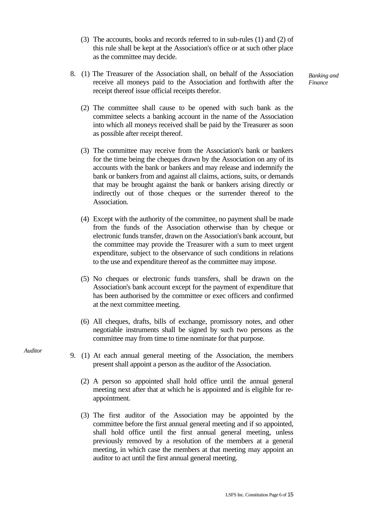- (3) The accounts, books and records referred to in sub-rules (1) and (2) of this rule shall be kept at the Association's office or at such other place as the committee may decide.
- 8. (1) The Treasurer of the Association shall, on behalf of the Association receive all moneys paid to the Association and forthwith after the receipt thereof issue official receipts therefor.

*Banking and Finance*

- (2) The committee shall cause to be opened with such bank as the committee selects a banking account in the name of the Association into which all moneys received shall be paid by the Treasurer as soon as possible after receipt thereof.
- (3) The committee may receive from the Association's bank or bankers for the time being the cheques drawn by the Association on any of its accounts with the bank or bankers and may release and indemnify the bank or bankers from and against all claims, actions, suits, or demands that may be brought against the bank or bankers arising directly or indirectly out of those cheques or the surrender thereof to the Association.
- (4) Except with the authority of the committee, no payment shall be made from the funds of the Association otherwise than by cheque or electronic funds transfer, drawn on the Association's bank account, but the committee may provide the Treasurer with a sum to meet urgent expenditure, subject to the observance of such conditions in relations to the use and expenditure thereof as the committee may impose.
- (5) No cheques or electronic funds transfers, shall be drawn on the Association's bank account except for the payment of expenditure that has been authorised by the committee or exec officers and confirmed at the next committee meeting.
- (6) All cheques, drafts, bills of exchange, promissory notes, and other negotiable instruments shall be signed by such two persons as the committee may from time to time nominate for that purpose.
- 9. (1) At each annual general meeting of the Association, the members present shall appoint a person as the auditor of the Association.
	- (2) A person so appointed shall hold office until the annual general meeting next after that at which he is appointed and is eligible for reappointment.
	- (3) The first auditor of the Association may be appointed by the committee before the first annual general meeting and if so appointed, shall hold office until the first annual general meeting, unless previously removed by a resolution of the members at a general meeting, in which case the members at that meeting may appoint an auditor to act until the first annual general meeting.

*Auditor*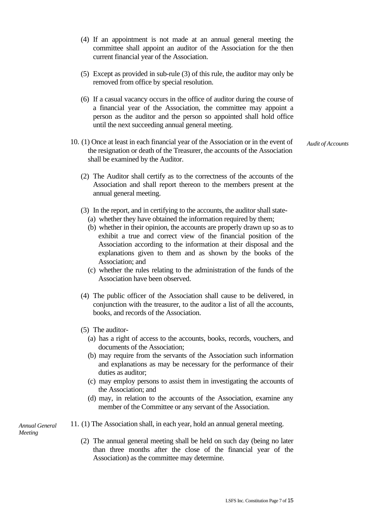- (4) If an appointment is not made at an annual general meeting the committee shall appoint an auditor of the Association for the then current financial year of the Association.
- (5) Except as provided in sub-rule (3) of this rule, the auditor may only be removed from office by special resolution.
- (6) If a casual vacancy occurs in the office of auditor during the course of a financial year of the Association, the committee may appoint a person as the auditor and the person so appointed shall hold office until the next succeeding annual general meeting.
- 10. (1) Once at least in each financial year of the Association or in the event of the resignation or death of the Treasurer, the accounts of the Association shall be examined by the Auditor.

*Audit of Accounts*

- (2) The Auditor shall certify as to the correctness of the accounts of the Association and shall report thereon to the members present at the annual general meeting.
- (3) In the report, and in certifying to the accounts, the auditor shall state-
	- (a) whether they have obtained the information required by them;
	- (b) whether in their opinion, the accounts are properly drawn up so as to exhibit a true and correct view of the financial position of the Association according to the information at their disposal and the explanations given to them and as shown by the books of the Association; and
	- (c) whether the rules relating to the administration of the funds of the Association have been observed.
- (4) The public officer of the Association shall cause to be delivered, in conjunction with the treasurer, to the auditor a list of all the accounts, books, and records of the Association.
- (5) The auditor-
	- (a) has a right of access to the accounts, books, records, vouchers, and documents of the Association;
	- (b) may require from the servants of the Association such information and explanations as may be necessary for the performance of their duties as auditor;
	- (c) may employ persons to assist them in investigating the accounts of the Association; and
	- (d) may, in relation to the accounts of the Association, examine any member of the Committee or any servant of the Association.

*Annual General Meeting*

- 11. (1) The Association shall, in each year, hold an annual general meeting.
	- (2) The annual general meeting shall be held on such day (being no later than three months after the close of the financial year of the Association) as the committee may determine.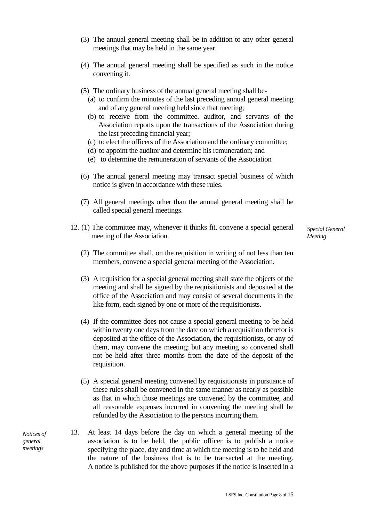- (3) The annual general meeting shall be in addition to any other general meetings that may be held in the same year.
- (4) The annual general meeting shall be specified as such in the notice convening it.
- (5) The ordinary business of the annual general meeting shall be-
	- (a) to confirm the minutes of the last preceding annual general meeting and of any general meeting held since that meeting;
	- (b) to receive from the committee. auditor, and servants of the Association reports upon the transactions of the Association during the last preceding financial year;
	- (c) to elect the officers of the Association and the ordinary committee;
	- (d) to appoint the auditor and determine his remuneration; and
	- (e) to determine the remuneration of servants of the Association
- (6) The annual general meeting may transact special business of which notice is given in accordance with these rules.
- (7) All general meetings other than the annual general meeting shall be called special general meetings.
- 12. (1) The committee may, whenever it thinks fit, convene a special general meeting of the Association.

*Special General Meeting*

- (2) The committee shall, on the requisition in writing of not less than ten members, convene a special general meeting of the Association.
- (3) A requisition for a special general meeting shall state the objects of the meeting and shall be signed by the requisitionists and deposited at the office of the Association and may consist of several documents in the like form, each signed by one or more of the requisitionists.
- (4) If the committee does not cause a special general meeting to be held within twenty one days from the date on which a requisition therefor is deposited at the office of the Association, the requisitionists, or any of them, may convene the meeting; but any meeting so convened shall not be held after three months from the date of the deposit of the requisition.
- (5) A special general meeting convened by requisitionists in pursuance of these rules shall be convened in the same manner as nearly as possible as that in which those meetings are convened by the committee, and all reasonable expenses incurred in convening the meeting shall be refunded by the Association to the persons incurring them.
- 13. At least 14 days before the day on which a general meeting of the association is to be held, the public officer is to publish a notice specifying the place, day and time at which the meeting is to be held and the nature of the business that is to be transacted at the meeting. A notice is published for the above purposes if the notice is inserted in a

*Notices of general meetings*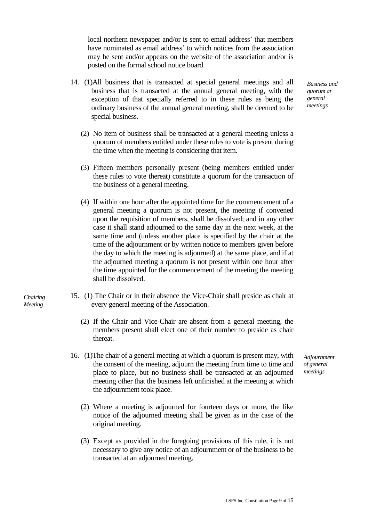local northern newspaper and/or is sent to email address' that members have nominated as email address' to which notices from the association may be sent and/or appears on the website of the association and/or is posted on the formal school notice board.

- 14. (1)All business that is transacted at special general meetings and all business that is transacted at the annual general meeting, with the exception of that specially referred to in these rules as being the ordinary business of the annual general meeting, shall be deemed to be special business.
	- (2) No item of business shall be transacted at a general meeting unless a quorum of members entitled under these rules to vote is present during the time when the meeting is considering that item.
	- (3) Fifteen members personally present (being members entitled under these rules to vote thereat) constitute a quorum for the transaction of the business of a general meeting.
	- (4) If within one hour after the appointed time for the commencement of a general meeting a quorum is not present, the meeting if convened upon the requisition of members, shall be dissolved; and in any other case it shall stand adjourned to the same day in the next week, at the same time and (unless another place is specified by the chair at the time of the adjournment or by written notice to members given before the day to which the meeting is adjourned) at the same place, and if at the adjourned meeting a quorum is not present within one hour after the time appointed for the commencement of the meeting the meeting shall be dissolved.
- 15. (1) The Chair or in their absence the Vice-Chair shall preside as chair at every general meeting of the Association.

*Chairing Meeting*

- (2) If the Chair and Vice-Chair are absent from a general meeting, the members present shall elect one of their number to preside as chair thereat.
- 16. (1)The chair of a general meeting at which a quorum is present may, with the consent of the meeting, adjourn the meeting from time to time and place to place, but no business shall be transacted at an adjourned meeting other that the business left unfinished at the meeting at which the adjournment took place.
	- (2) Where a meeting is adjourned for fourteen days or more, the like notice of the adjourned meeting shall be given as in the case of the original meeting.
	- (3) Except as provided in the foregoing provisions of this rule, it is not necessary to give any notice of an adjournment or of the business to be transacted at an adjourned meeting.

*Adjournment of general meetings*

*Business and quorum at general meetings*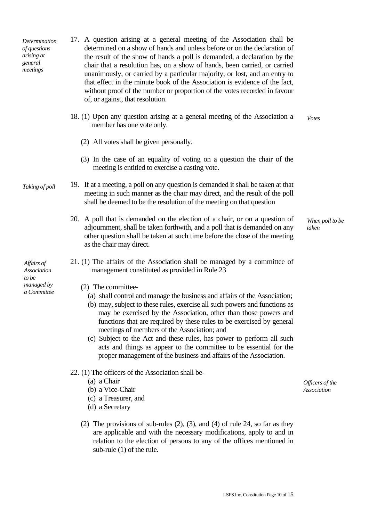| Determination<br>of questions<br>arising at<br>general<br>meetings | 17. A question arising at a general meeting of the Association shall be<br>determined on a show of hands and unless before or on the declaration of<br>the result of the show of hands a poll is demanded, a declaration by the<br>chair that a resolution has, on a show of hands, been carried, or carried<br>unanimously, or carried by a particular majority, or lost, and an entry to<br>that effect in the minute book of the Association is evidence of the fact,<br>without proof of the number or proportion of the votes recorded in favour<br>of, or against, that resolution.     |                          |
|--------------------------------------------------------------------|-----------------------------------------------------------------------------------------------------------------------------------------------------------------------------------------------------------------------------------------------------------------------------------------------------------------------------------------------------------------------------------------------------------------------------------------------------------------------------------------------------------------------------------------------------------------------------------------------|--------------------------|
|                                                                    | 18. (1) Upon any question arising at a general meeting of the Association a<br>member has one vote only.                                                                                                                                                                                                                                                                                                                                                                                                                                                                                      | <b>V</b> otes            |
|                                                                    | (2) All votes shall be given personally.                                                                                                                                                                                                                                                                                                                                                                                                                                                                                                                                                      |                          |
|                                                                    | (3) In the case of an equality of voting on a question the chair of the<br>meeting is entitled to exercise a casting vote.                                                                                                                                                                                                                                                                                                                                                                                                                                                                    |                          |
| Taking of poll                                                     | 19. If at a meeting, a poll on any question is demanded it shall be taken at that<br>meeting in such manner as the chair may direct, and the result of the poll<br>shall be deemed to be the resolution of the meeting on that question                                                                                                                                                                                                                                                                                                                                                       |                          |
|                                                                    | 20. A poll that is demanded on the election of a chair, or on a question of<br>adjournment, shall be taken forthwith, and a poll that is demanded on any<br>other question shall be taken at such time before the close of the meeting<br>as the chair may direct.                                                                                                                                                                                                                                                                                                                            | When poll to be<br>taken |
| Affairs of<br>Association<br>to be<br>managed by<br>a Committee    | 21. (1) The affairs of the Association shall be managed by a committee of<br>management constituted as provided in Rule 23                                                                                                                                                                                                                                                                                                                                                                                                                                                                    |                          |
|                                                                    | (2) The committee-<br>(a) shall control and manage the business and affairs of the Association;<br>(b) may, subject to these rules, exercise all such powers and functions as<br>may be exercised by the Association, other than those powers and<br>functions that are required by these rules to be exercised by general<br>meetings of members of the Association; and<br>(c) Subject to the Act and these rules, has power to perform all such<br>acts and things as appear to the committee to be essential for the<br>proper management of the business and affairs of the Association. |                          |
|                                                                    | 22. (1) The officers of the Association shall be-                                                                                                                                                                                                                                                                                                                                                                                                                                                                                                                                             |                          |

- (a) a Chair
- (b) a Vice-Chair
- (c) a Treasurer, and
- (d) a Secretary
- (2) The provisions of sub-rules (2), (3), and (4) of rule 24, so far as they are applicable and with the necessary modifications, apply to and in relation to the election of persons to any of the offices mentioned in sub-rule (1) of the rule.

*Officers of the Association*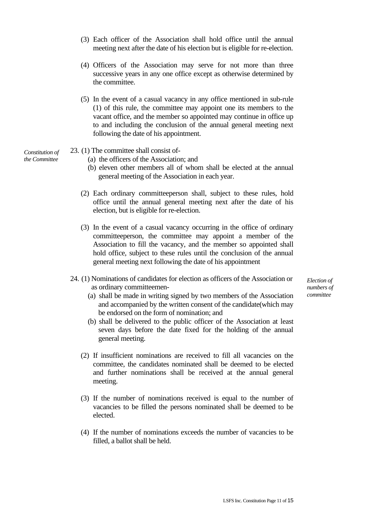- (3) Each officer of the Association shall hold office until the annual meeting next after the date of his election but is eligible for re-election.
- (4) Officers of the Association may serve for not more than three successive years in any one office except as otherwise determined by the committee.
- (5) In the event of a casual vacancy in any office mentioned in sub-rule (1) of this rule, the committee may appoint one its members to the vacant office, and the member so appointed may continue in office up to and including the conclusion of the annual general meeting next following the date of his appointment.
- 23. (1) The committee shall consist of-

(a) the officers of the Association; and

- (b) eleven other members all of whom shall be elected at the annual general meeting of the Association in each year.
- (2) Each ordinary committeeperson shall, subject to these rules, hold office until the annual general meeting next after the date of his election, but is eligible for re-election.
- (3) In the event of a casual vacancy occurring in the office of ordinary committeeperson, the committee may appoint a member of the Association to fill the vacancy, and the member so appointed shall hold office, subject to these rules until the conclusion of the annual general meeting next following the date of his appointment
- 24. (1) Nominations of candidates for election as officers of the Association or as ordinary committeemen-
	- (a) shall be made in writing signed by two members of the Association and accompanied by the written consent of the candidate(which may be endorsed on the form of nomination; and
	- (b) shall be delivered to the public officer of the Association at least seven days before the date fixed for the holding of the annual general meeting.
	- (2) If insufficient nominations are received to fill all vacancies on the committee, the candidates nominated shall be deemed to be elected and further nominations shall be received at the annual general meeting.
	- (3) If the number of nominations received is equal to the number of vacancies to be filled the persons nominated shall be deemed to be elected.
	- (4) If the number of nominations exceeds the number of vacancies to be filled, a ballot shall be held.

*Election of numbers of committee*

*Constitution of the Committee*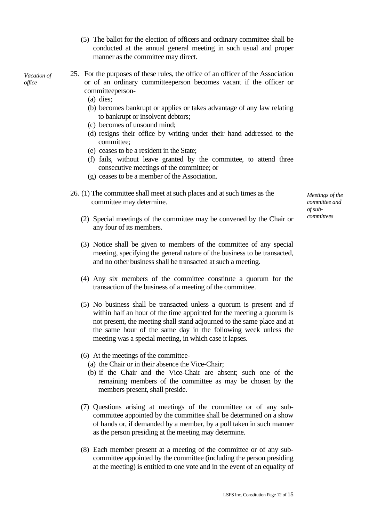- (5) The ballot for the election of officers and ordinary committee shall be conducted at the annual general meeting in such usual and proper manner as the committee may direct.
- *Vacation of office*
- 25. For the purposes of these rules, the office of an officer of the Association or of an ordinary committeeperson becomes vacant if the officer or committeeperson-
	- (a) dies;
	- (b) becomes bankrupt or applies or takes advantage of any law relating to bankrupt or insolvent debtors;
	- (c) becomes of unsound mind;
	- (d) resigns their office by writing under their hand addressed to the committee;
	- (e) ceases to be a resident in the State;
	- (f) fails, without leave granted by the committee, to attend three consecutive meetings of the committee; or
	- (g) ceases to be a member of the Association.
- 26. (1) The committee shall meet at such places and at such times as the committee may determine.

*Meetings of the committee and of subcommittees*

- (2) Special meetings of the committee may be convened by the Chair or any four of its members.
- (3) Notice shall be given to members of the committee of any special meeting, specifying the general nature of the business to be transacted, and no other business shall be transacted at such a meeting.
- (4) Any six members of the committee constitute a quorum for the transaction of the business of a meeting of the committee.
- (5) No business shall be transacted unless a quorum is present and if within half an hour of the time appointed for the meeting a quorum is not present, the meeting shall stand adjourned to the same place and at the same hour of the same day in the following week unless the meeting was a special meeting, in which case it lapses.
- (6) At the meetings of the committee-
	- (a) the Chair or in their absence the Vice-Chair;
	- (b) if the Chair and the Vice-Chair are absent; such one of the remaining members of the committee as may be chosen by the members present, shall preside.
- (7) Questions arising at meetings of the committee or of any subcommittee appointed by the committee shall be determined on a show of hands or, if demanded by a member, by a poll taken in such manner as the person presiding at the meeting may determine.
- (8) Each member present at a meeting of the committee or of any subcommittee appointed by the committee (including the person presiding at the meeting) is entitled to one vote and in the event of an equality of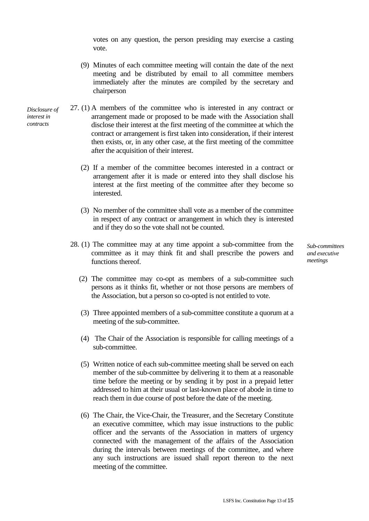votes on any question, the person presiding may exercise a casting vote.

- (9) Minutes of each committee meeting will contain the date of the next meeting and be distributed by email to all committee members immediately after the minutes are compiled by the secretary and chairperson
- 27. (1) A members of the committee who is interested in any contract or arrangement made or proposed to be made with the Association shall disclose their interest at the first meeting of the committee at which the contract or arrangement is first taken into consideration, if their interest then exists, or, in any other case, at the first meeting of the committee after the acquisition of their interest.
	- (2) If a member of the committee becomes interested in a contract or arrangement after it is made or entered into they shall disclose his interest at the first meeting of the committee after they become so interested.
	- (3) No member of the committee shall vote as a member of the committee in respect of any contract or arrangement in which they is interested and if they do so the vote shall not be counted.
	- 28. (1) The committee may at any time appoint a sub-committee from the committee as it may think fit and shall prescribe the powers and functions thereof.
		- (2) The committee may co-opt as members of a sub-committee such persons as it thinks fit, whether or not those persons are members of the Association, but a person so co-opted is not entitled to vote.
		- (3) Three appointed members of a sub-committee constitute a quorum at a meeting of the sub-committee.
		- (4) The Chair of the Association is responsible for calling meetings of a sub-committee.
		- (5) Written notice of each sub-committee meeting shall be served on each member of the sub-committee by delivering it to them at a reasonable time before the meeting or by sending it by post in a prepaid letter addressed to him at their usual or last-known place of abode in time to reach them in due course of post before the date of the meeting.
		- (6) The Chair, the Vice-Chair, the Treasurer, and the Secretary Constitute an executive committee, which may issue instructions to the public officer and the servants of the Association in matters of urgency connected with the management of the affairs of the Association during the intervals between meetings of the committee, and where any such instructions are issued shall report thereon to the next meeting of the committee.

*and executive meetings*

*Sub-committees* 

*Disclosure of interest in contracts*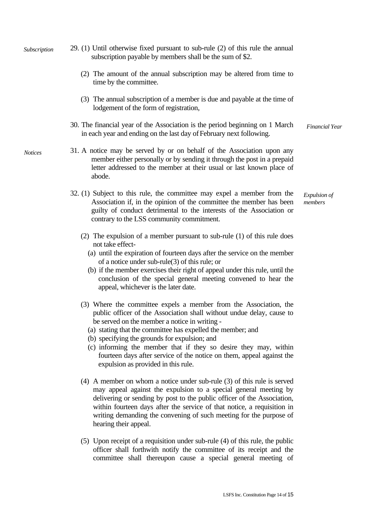| Subscription   | 29. (1) Until otherwise fixed pursuant to sub-rule (2) of this rule the annual<br>subscription payable by members shall be the sum of \$2.                                                                                                                                                                                                                                                                                                                                                      |                         |
|----------------|-------------------------------------------------------------------------------------------------------------------------------------------------------------------------------------------------------------------------------------------------------------------------------------------------------------------------------------------------------------------------------------------------------------------------------------------------------------------------------------------------|-------------------------|
|                | (2) The amount of the annual subscription may be altered from time to<br>time by the committee.                                                                                                                                                                                                                                                                                                                                                                                                 |                         |
|                | (3) The annual subscription of a member is due and payable at the time of<br>lodgement of the form of registration,                                                                                                                                                                                                                                                                                                                                                                             |                         |
|                | 30. The financial year of the Association is the period beginning on 1 March<br>in each year and ending on the last day of February next following.                                                                                                                                                                                                                                                                                                                                             | <b>Financial Year</b>   |
| <b>Notices</b> | 31. A notice may be served by or on behalf of the Association upon any<br>member either personally or by sending it through the post in a prepaid<br>letter addressed to the member at their usual or last known place of<br>abode.                                                                                                                                                                                                                                                             |                         |
|                | 32. (1) Subject to this rule, the committee may expel a member from the<br>Association if, in the opinion of the committee the member has been<br>guilty of conduct detrimental to the interests of the Association or<br>contrary to the LSS community commitment.                                                                                                                                                                                                                             | Expulsion of<br>members |
|                | (2) The expulsion of a member pursuant to sub-rule $(1)$ of this rule does<br>not take effect-<br>(a) until the expiration of fourteen days after the service on the member<br>of a notice under sub-rule $(3)$ of this rule; or<br>(b) if the member exercises their right of appeal under this rule, until the<br>conclusion of the special general meeting convened to hear the<br>appeal, whichever is the later date.                                                                      |                         |
|                | (3) Where the committee expels a member from the Association, the<br>public officer of the Association shall without undue delay, cause to<br>be served on the member a notice in writing -<br>(a) stating that the committee has expelled the member; and<br>(b) specifying the grounds for expulsion; and<br>(c) informing the member that if they so desire they may, within<br>fourteen days after service of the notice on them, appeal against the<br>expulsion as provided in this rule. |                         |
|                | $(4)$ A member on whom a notice under sub-rule $(3)$ of this rule is served<br>may appeal against the expulsion to a special general meeting by<br>delivering or sending by post to the public officer of the Association,<br>within fourteen days after the service of that notice, a requisition in<br>writing demanding the convening of such meeting for the purpose of<br>hearing their appeal.                                                                                            |                         |
|                | (5) Upon receipt of a requisition under sub-rule (4) of this rule, the public<br>officer shall forthwith notify the committee of its receipt and the<br>committee shall thereupon cause a special general meeting of                                                                                                                                                                                                                                                                            |                         |